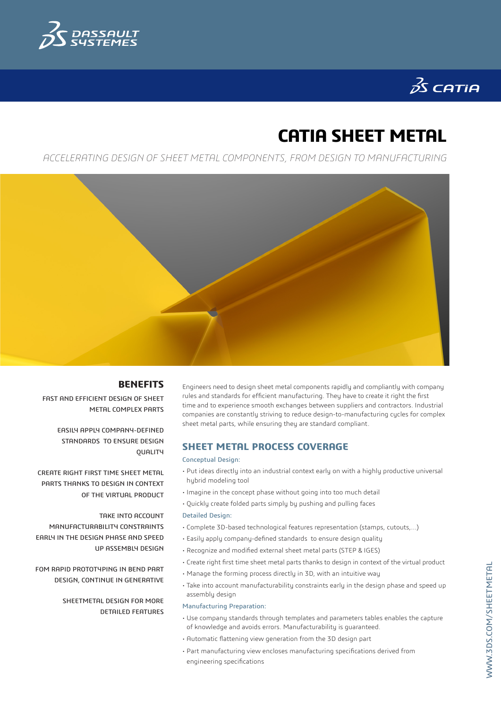

# $35$  CATIA

## **CATIA SHEET METAL**

*ACCELERATING DESIGN OF SHEET METAL COMPONENTS, FROM DESIGN TO MANUFACTURING*



## **BENEFITS**

FAST AND EFFICIENT DESIGN OF SHEET METAL COMPLEX PARTS

> EASILY APPLY COMPANY-DEFINED STANDARDS TO ENSURE DESIGN **QUALITY**

CREATE RIGHT FIRST TIME SHEET METAL PARTS THANKS TO DESIGN IN CONTEXT OF THE VIRTUAL PRODUCT

TAKE INTO ACCOUNT MANUFACTURABILITY CONSTRAINTS EARLY IN THE DESIGN PHASE AND SPEED UP ASSEMBLY DESIGN

FOM RAPID PROTOTYPING IN BEND PART DESIGN, CONTINUE IN GENERATIVE

> SHEETMETAL DESIGN FOR MORE DETAILED FEATURES

Engineers need to design sheet metal components rapidly and compliantly with company rules and standards for efficient manufacturing. They have to create it right the first time and to experience smooth exchanges between suppliers and contractors. Industrial companies are constantly striving to reduce design-to-manufacturing cycles for complex sheet metal parts, while ensuring they are standard compliant.

## **SHEET METAL PROCESS COVERAGE**

#### Conceptual Design:

- Put ideas directly into an industrial context early on with a highly productive universal hybrid modeling tool
- Imagine in the concept phase without going into too much detail
- Quickly create folded parts simply by pushing and pulling faces

## Detailed Design:

- Complete 3D-based technological features representation (stamps, cutouts,…)
- Easily apply company-defined standards to ensure design quality
- Recognize and modified external sheet metal parts (STEP & IGES)
- Create right first time sheet metal parts thanks to design in context of the virtual product
- Manage the forming process directly in 3D, with an intuitive way
- Take into account manufacturability constraints early in the design phase and speed up assembly design
- Manufacturing Preparation:
- Use company standards through templates and parameters tables enables the capture of knowledge and avoids errors. Manufacturability is guaranteed.
- Automatic flattening view generation from the 3D design part
- Part manufacturing view encloses manufacturing specifications derived from engineering specifications